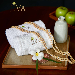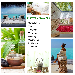



## **AYURVEDA PACKAGES**

**Consultation** Trupti Abhyanga Vishrama Dincharya Udvartanam Mukhalepa Vishuddhi





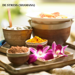## **DE STRESS (SHAMANA)**

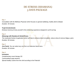### **DE STRESS (SHAMANA) 3 DAYS PACKAGE**

#### **Day 1**

*Consultation with the Wellness Physician which focuses on general wellbeing, healthy diet & Lifestyle. Duration: 30 minutes*

#### **Trupti (Contentment)**

*Embrace harmony & lose yourself in this entrancing experience designed to suit for jet lag*

#### **Day 2**

#### **Abhyanga with Swedana & Herbal Snana**

*The medicated herbal oil application which will help to enhance blood circulation, reduce stress & remove fatigue, pains Duration: 90 minutes*

#### **Day 3**

**Jiva Facial:***You can select any one from our extensive facial menu Duration: 60 minutes*

#### **Day 4**

**Inclusions** *Complimentary music therapy CD 2 personalized yoga sessions Special healthy cuisine from the chef according to the Prakruthi*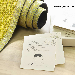### **DETOX (SHUDDHI)**

Wellness through Yoga

- 
- 
- 
- Lie flat on the back.<br>• Bend the knees bringing them close to the button of the fingers pointing<br>• Position the hands by the sides of the head with the fingers pointing

ww apart

- Position the nanos by the states of the head three states of the head to specific the crown of the head and torso, placing the crown of What the body stable and steady and then raise the body up by<br>straightening the arms and legs.
- 
- 
- 
- 
- straightening the arms and legs.<br>• Try to arch the back as much as possible.<br>• Hold the final pose for as long as comfortable breathing normally.<br>• Slowly lower the body gently back down on to the floor.<br>This is 1 round. · Practise up to 3 rounds.
- 

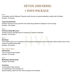# **DETOX (SHUDDHI) 7 DAYS PACKAGE**

#### **Day 1**

*Consultation with the Wellness Physician which focuses on general wellbeing, healthy diet & Lifestyle Duration: 30 minutes*

#### **Trupti (Contentment)**

*Embrace harmony & lose yourself in this entrancing experience designed to suit for jet lag Duration: 120 minutes*

#### **Day 2**

#### **Vishrama (Deep Muscular)**

*A deep muscular massage with hot compress for profound relaxation Duration: 120 minutes*

#### **Day 3**

#### **Dincharya**

*This program gives you an experience of the physical cleansing process in the daily routine wherein each of your senses is carefully looked after Duration 120 minutes*

#### **Day 4, Day 5, Day 6**

**Udvartanam**. *This is a body toning program. Duration: 75 minutes*

#### **Day 7**

**Mukhalepa (Herbal facial)**  *Duration: 60 minutes*

#### **Inclusions**

3 *personalized Yoga sessions A complimentary music therapy CD Special healthy cuisine from the chef according to the Prakruthi*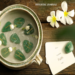## **HOLISTIC (SARVA)**

RO

praé=

 $F^{addh\hat{a}}  
Faith$ 

2100

**MARKETOWN** 

baldiaco-

mituaties

Communication

Asveren

 $\rightarrow$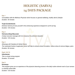# **HOLISTIC (SARVA) 14 DAYS PACKAGE**

#### **Day 1**

*Consultation with the Wellness Physician which focuses on general wellbeing, healthy diet & Lifestyle Duration: 30 minutes*

#### **Trupti (Contentment)**

*Embrace harmony & lose yourself in this entrancing experience designed to suit for jet lag Duration: 120 minutes*

#### **Day 2**

#### **Vishrama (Deep Muscular)**

*A deep muscular massage with hot compress for profound relaxation Duration: 120 minutes*

#### **Day 3**

*Abhyanga with Swedana & Herbal Snana The medicated herbal oil application which will help to enhance blood circulation, reduce stress & remove fatigue, pains Duration: 90 minutes*

#### **Day4, 5,6,7,8**

**Udvartanam** *This is a body toning program Duration: 75 minutes*

#### **Day 9**

#### **Dincharya**

*This program gives you an experience of the physical cleansing process in the daily routine wherein each of your senses is carefully looked after Duration: 120 minutes*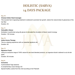## **HOLISTIC (SARVA) 14 DAYS PACKAGE**

#### **Day 10**

#### **Champi (Indian Head massage)**

This luxuriant hair invigorating treatment is believed to promote hair growth, restore the natural sheen & glossiness of the hair fiber

Duration: 45

#### **Day 11**

#### **Vishuddhi.( Detox)**

Exfoliation is performed using silk gloves to stimulate the circulation of blood, lymph & energy Duration: 120 minutes

#### **Day 12**

#### **Indian Aroma Therapy**

This is a relaxing experience with our essential signature oils Duration: 60

#### **Day 13**

#### **Signature Facial**

Using our exclusive range of 100% natural & rare hand blended products, our signature facial is tailored to suit all skin types

Duration: 90 minutes

#### **Day14**

#### **Inclusions**

5 personalized Yoga sessions

A complimentary music therapy CD

Special healthy cuisine from the chef according to the Prakruthi